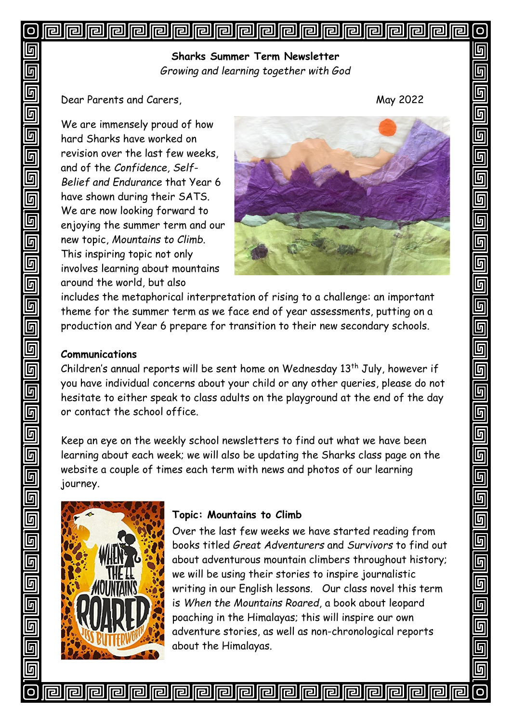### **Iel** 同 lral 同 **||e|||e|** lra 囘 lral **Iral** lral 囘 问 <u>| [2]</u> <u>||rə</u> **Iral rall**

**Sharks Summer Term Newsletter** *Growing and learning together with God*

Dear Parents and Carers, May 2022

We are immensely proud of how hard Sharks have worked on revision over the last few weeks, and of the *Confidence, Self-Belief and Endurance* that Year 6 have shown during their SATS. We are now looking forward to enjoying the summer term and our new topic, *Mountains to Climb*. This inspiring topic not only involves learning about mountains around the world, but also



П

5

匠

 $\overline{\mathbb{F}}$ 

<u>同</u>

 $\overline{\mathbb{F}}$ 

 $\overline{\mathbb{G}}$ 

匠

<u>ត្រ</u>

 $\overline{\mathbb{F}}$ 

 $\overline{\mathsf{g}}$ 

 $\overline{\mathbb{F}}$ 

 $\overline{\mathbb{F}}$ 

5

<u>ត្</u>

 $\overline{\overline{\mathsf{g}}}$ 

 $\overline{\mathbb{F}}$ 

 $\overline{\mathsf{q}}$ 

 $\overline{\mathbb{F}}$ 

 $\overline{\mathbb{F}}$ 

 $\overline{\mathbb{G}}$ 

 $\overline{\mathsf{G}}$ 

 $\overline{\overline{\mathsf{G}}}$ 

 $\overline{\mathbb{F}}$ 

 $\overline{\mathsf{G}}$ 

 $\overline{\mathbb{F}}$ 

ភ្ន

<u>同</u>

回

 $\overline{O}$ 

includes the metaphorical interpretation of rising to a challenge: an important theme for the summer term as we face end of year assessments, putting on a production and Year 6 prepare for transition to their new secondary schools.

## **Communications**

Children's annual reports will be sent home on Wednesday 13<sup>th</sup> July, however if you have individual concerns about your child or any other queries, please do not hesitate to either speak to class adults on the playground at the end of the day or contact the school office.

Keep an eye on the weekly school newsletters to find out what we have been learning about each week; we will also be updating the Sharks class page on the website a couple of times each term with news and photos of our learning journey.



# **Topic: Mountains to Climb**

Over the last few weeks we have started reading from books titled *Great Adventurers* and *Survivors* to find out about adventurous mountain climbers throughout history; we will be using their stories to inspire journalistic writing in our English lessons. Our class novel this term is *When the Mountains Roared*, a book about leopard poaching in the Himalayas; this will inspire our own adventure stories, as well as non-chronological reports about the Himalayas.

**Propie Propie** lra ral 同 囘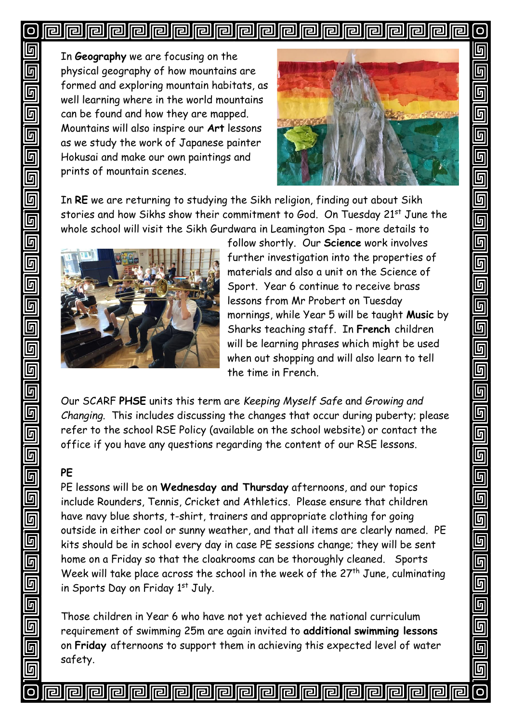### 囘 **||e|||e| Iell** 囘 lral **Iral** 厄 同 同 同

In **Geography** we are focusing on the physical geography of how mountains are formed and exploring mountain habitats, as well learning where in the world mountains can be found and how they are mapped. Mountains will also inspire our **Art** lessons as we study the work of Japanese painter Hokusai and make our own paintings and prints of mountain scenes.



П

5

<u>ក</u>

 $\overline{\mathbb{F}}$ 

<u>同</u>

 $\overline{\mathsf{G}}$ 

 $\overline{\mathbb{G}}$ 

9

 $\overline{\mathsf{G}}$ 

 $\overline{\overline{\mathbb{F}}}$ 

 $\overline{\mathbb{F}}$ 

g<br>g

 $\overline{\mathbb{D}}$ 

 $\overline{\mathbb{G}}$ 

 $\overline{\mathbb{F}}$ 

 $\overline{\mathbb{F}}$ 

 $\overline{\mathbb{F}}$ 

 $\overline{\overline{\mathsf{G}}}$ 

 $\overline{\mathsf{q}}$ 

 $\overline{\mathbb{F}}$ 

 $\overline{\mathbb{G}}$ 

 $\overline{\overline{\mathsf{g}}}$ 

 $\overline{\mathbb{F}}$ 

回<br>回

 $\overline{\mathsf{g}}$ 

 $\overline{\mathbb{F}}$ 

回

 $\overline{\mathbf{o}}$ 

le

In **RE** we are returning to studying the Sikh religion, finding out about Sikh stories and how Sikhs show their commitment to God. On Tuesday 21<sup>st</sup> June the whole school will visit the Sikh Gurdwara in Leamington Spa - more details to



囘

lel

follow shortly. Our **Science** work involves further investigation into the properties of materials and also a unit on the Science of Sport. Year 6 continue to receive brass lessons from Mr Probert on Tuesday mornings, while Year 5 will be taught **Music** by Sharks teaching staff. In **French** children will be learning phrases which might be used when out shopping and will also learn to tell the time in French.

Our SCARF **PHSE** units this term are *Keeping Myself Safe* and *Growing and Changing*. This includes discussing the changes that occur during puberty; please refer to the school RSE Policy (available on the school website) or contact the office if you have any questions regarding the content of our RSE lessons.

### **PE**

PE lessons will be on **Wednesday and Thursday** afternoons, and our topics include Rounders, Tennis, Cricket and Athletics. Please ensure that children have navy blue shorts, t-shirt, trainers and appropriate clothing for going outside in either cool or sunny weather, and that all items are clearly named. PE kits should be in school every day in case PE sessions change; they will be sent home on a Friday so that the cloakrooms can be thoroughly cleaned. Sports Week will take place across the school in the week of the  $27<sup>th</sup>$  June, culminating in Sports Day on Friday 1st July.

Those children in Year 6 who have not yet achieved the national curriculum requirement of swimming 25m are again invited to **additional swimming lessons** on **Friday** afternoons to support them in achieving this expected level of water safety.

**Fieldele de la la** la